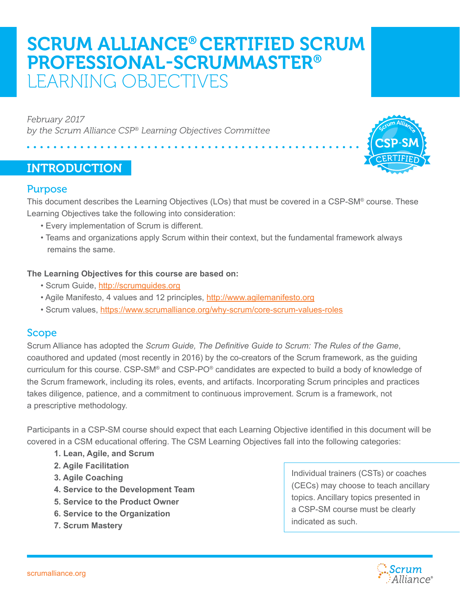# SCRUM ALLIANCE® CERTIFIED SCRUM PROFESSIONAL-SCRUMMASTER® LEARNING OBJECTIVES

*February 2017 by the Scrum Alliance CSP® Learning Objectives Committee*

# INTRODUCTION



This document describes the Learning Objectives (LOs) that must be covered in a CSP-SM® course. These Learning Objectives take the following into consideration:

- Every implementation of Scrum is different.
- Teams and organizations apply Scrum within their context, but the fundamental framework always remains the same.

#### **The Learning Objectives for this course are based on:**

- Scrum Guide,<http://scrumguides.org>
- Agile Manifesto, 4 values and 12 principles, <http://www.agilemanifesto.org>
- Scrum values, <https://www.scrumalliance.org/why-scrum/core-scrum-values-roles>

# Scope

Scrum Alliance has adopted the *Scrum Guide, The Definitive Guide to Scrum: The Rules of the Game*, coauthored and updated (most recently in 2016) by the co-creators of the Scrum framework, as the guiding curriculum for this course. CSP-SM® and CSP-PO® candidates are expected to build a body of knowledge of the Scrum framework, including its roles, events, and artifacts. Incorporating Scrum principles and practices takes diligence, patience, and a commitment to continuous improvement. Scrum is a framework, not a prescriptive methodology.

Participants in a CSP-SM course should expect that each Learning Objective identified in this document will be covered in a CSM educational offering. The CSM Learning Objectives fall into the following categories:

- **1. Lean, Agile, and Scrum**
- **2. Agile Facilitation**
- **3. Agile Coaching**
- **4. Service to the Development Team**
- **5. Service to the Product Owner**
- **6. Service to the Organization**
- **7. Scrum Mastery**

Individual trainers (CSTs) or coaches (CECs) may choose to teach ancillary topics. Ancillary topics presented in a CSP-SM course must be clearly indicated as such.

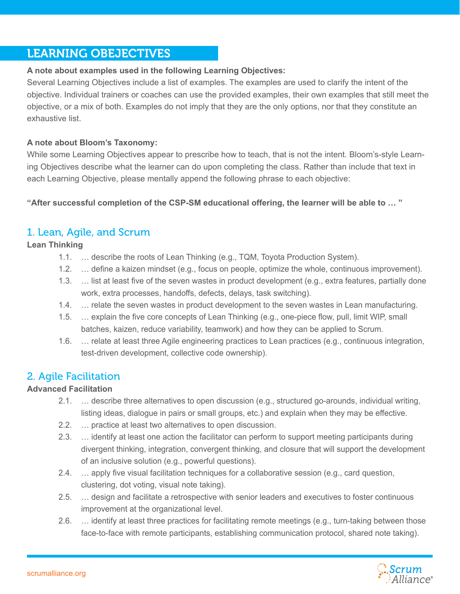# LEARNING OBEJECTIVES

# **A note about examples used in the following Learning Objectives:**

Several Learning Objectives include a list of examples. The examples are used to clarify the intent of the objective. Individual trainers or coaches can use the provided examples, their own examples that still meet the objective, or a mix of both. Examples do not imply that they are the only options, nor that they constitute an exhaustive list.

## **A note about Bloom's Taxonomy:**

While some Learning Objectives appear to prescribe how to teach, that is not the intent. Bloom's-style Learning Objectives describe what the learner can do upon completing the class. Rather than include that text in each Learning Objective, please mentally append the following phrase to each objective:

**"After successful completion of the CSP-SM educational offering, the learner will be able to … "**

# 1. Lean, Agile, and Scrum

#### **Lean Thinking**

- 1.1. … describe the roots of Lean Thinking (e.g., TQM, Toyota Production System).
- 1.2. … define a kaizen mindset (e.g., focus on people, optimize the whole, continuous improvement).
- 1.3. … list at least five of the seven wastes in product development (e.g., extra features, partially done work, extra processes, handoffs, defects, delays, task switching).
- 1.4. … relate the seven wastes in product development to the seven wastes in Lean manufacturing.
- 1.5. … explain the five core concepts of Lean Thinking (e.g., one-piece flow, pull, limit WIP, small batches, kaizen, reduce variability, teamwork) and how they can be applied to Scrum.
- 1.6. … relate at least three Agile engineering practices to Lean practices (e.g., continuous integration, test-driven development, collective code ownership).

# 2. Agile Facilitation

# **Advanced Facilitation**

- 2.1. … describe three alternatives to open discussion (e.g., structured go-arounds, individual writing, listing ideas, dialogue in pairs or small groups, etc.) and explain when they may be effective.
- 2.2. … practice at least two alternatives to open discussion.
- 2.3. … identify at least one action the facilitator can perform to support meeting participants during divergent thinking, integration, convergent thinking, and closure that will support the development of an inclusive solution (e.g., powerful questions).
- 2.4. … apply five visual facilitation techniques for a collaborative session (e.g., card question, clustering, dot voting, visual note taking).
- 2.5. … design and facilitate a retrospective with senior leaders and executives to foster continuous improvement at the organizational level.
- 2.6. … identify at least three practices for facilitating remote meetings (e.g., turn-taking between those face-to-face with remote participants, establishing communication protocol, shared note taking).

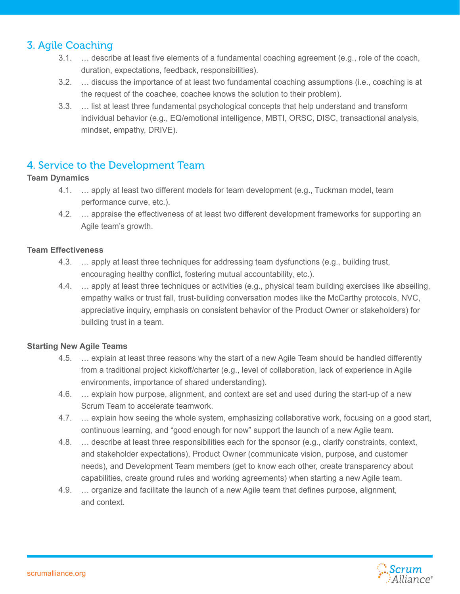# 3. Agile Coaching

- 3.1. … describe at least five elements of a fundamental coaching agreement (e.g., role of the coach, duration, expectations, feedback, responsibilities).
- 3.2. … discuss the importance of at least two fundamental coaching assumptions (i.e., coaching is at the request of the coachee, coachee knows the solution to their problem).
- 3.3. … list at least three fundamental psychological concepts that help understand and transform individual behavior (e.g., EQ/emotional intelligence, MBTI, ORSC, DISC, transactional analysis, mindset, empathy, DRIVE).

# 4. Service to the Development Team

# **Team Dynamics**

- 4.1. … apply at least two different models for team development (e.g., Tuckman model, team performance curve, etc.).
- 4.2. … appraise the effectiveness of at least two different development frameworks for supporting an Agile team's growth.

# **Team Effectiveness**

- 4.3. … apply at least three techniques for addressing team dysfunctions (e.g., building trust, encouraging healthy conflict, fostering mutual accountability, etc.).
- 4.4. … apply at least three techniques or activities (e.g., physical team building exercises like abseiling, empathy walks or trust fall, trust-building conversation modes like the McCarthy protocols, NVC, appreciative inquiry, emphasis on consistent behavior of the Product Owner or stakeholders) for building trust in a team.

# **Starting New Agile Teams**

- 4.5. … explain at least three reasons why the start of a new Agile Team should be handled differently from a traditional project kickoff/charter (e.g., level of collaboration, lack of experience in Agile environments, importance of shared understanding).
- 4.6. … explain how purpose, alignment, and context are set and used during the start-up of a new Scrum Team to accelerate teamwork.
- 4.7. … explain how seeing the whole system, emphasizing collaborative work, focusing on a good start, continuous learning, and "good enough for now" support the launch of a new Agile team.
- 4.8. … describe at least three responsibilities each for the sponsor (e.g., clarify constraints, context, and stakeholder expectations), Product Owner (communicate vision, purpose, and customer needs), and Development Team members (get to know each other, create transparency about capabilities, create ground rules and working agreements) when starting a new Agile team.
- 4.9. … organize and facilitate the launch of a new Agile team that defines purpose, alignment, and context.

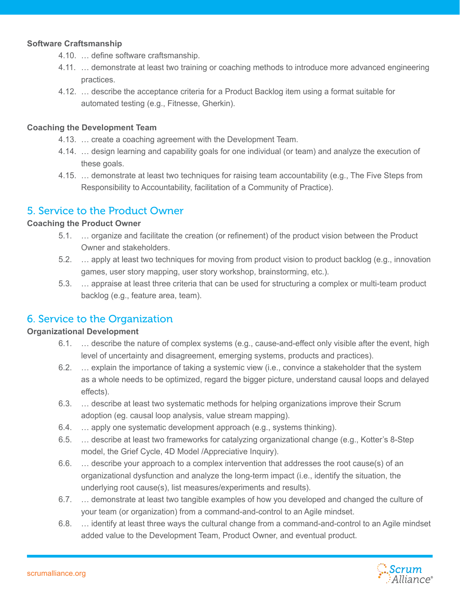#### **Software Craftsmanship**

- 4.10. … define software craftsmanship.
- 4.11. … demonstrate at least two training or coaching methods to introduce more advanced engineering practices.
- 4.12. … describe the acceptance criteria for a Product Backlog item using a format suitable for automated testing (e.g., Fitnesse, Gherkin).

## **Coaching the Development Team**

- 4.13. … create a coaching agreement with the Development Team.
- 4.14. … design learning and capability goals for one individual (or team) and analyze the execution of these goals.
- 4.15. … demonstrate at least two techniques for raising team accountability (e.g., The Five Steps from Responsibility to Accountability, facilitation of a Community of Practice).

# 5. Service to the Product Owner

## **Coaching the Product Owner**

- 5.1. … organize and facilitate the creation (or refinement) of the product vision between the Product Owner and stakeholders.
- 5.2. … apply at least two techniques for moving from product vision to product backlog (e.g., innovation games, user story mapping, user story workshop, brainstorming, etc.).
- 5.3. … appraise at least three criteria that can be used for structuring a complex or multi-team product backlog (e.g., feature area, team).

# 6. Service to the Organization

# **Organizational Development**

- 6.1. … describe the nature of complex systems (e.g., cause-and-effect only visible after the event, high level of uncertainty and disagreement, emerging systems, products and practices).
- 6.2. … explain the importance of taking a systemic view (i.e., convince a stakeholder that the system as a whole needs to be optimized, regard the bigger picture, understand causal loops and delayed effects).
- 6.3. … describe at least two systematic methods for helping organizations improve their Scrum adoption (eg. causal loop analysis, value stream mapping).
- 6.4. … apply one systematic development approach (e.g., systems thinking).
- 6.5. … describe at least two frameworks for catalyzing organizational change (e.g., Kotter's 8-Step model, the Grief Cycle, 4D Model /Appreciative Inquiry).
- 6.6. … describe your approach to a complex intervention that addresses the root cause(s) of an organizational dysfunction and analyze the long-term impact (i.e., identify the situation, the underlying root cause(s), list measures/experiments and results).
- 6.7. … demonstrate at least two tangible examples of how you developed and changed the culture of your team (or organization) from a command-and-control to an Agile mindset.
- 6.8. … identify at least three ways the cultural change from a command-and-control to an Agile mindset added value to the Development Team, Product Owner, and eventual product.